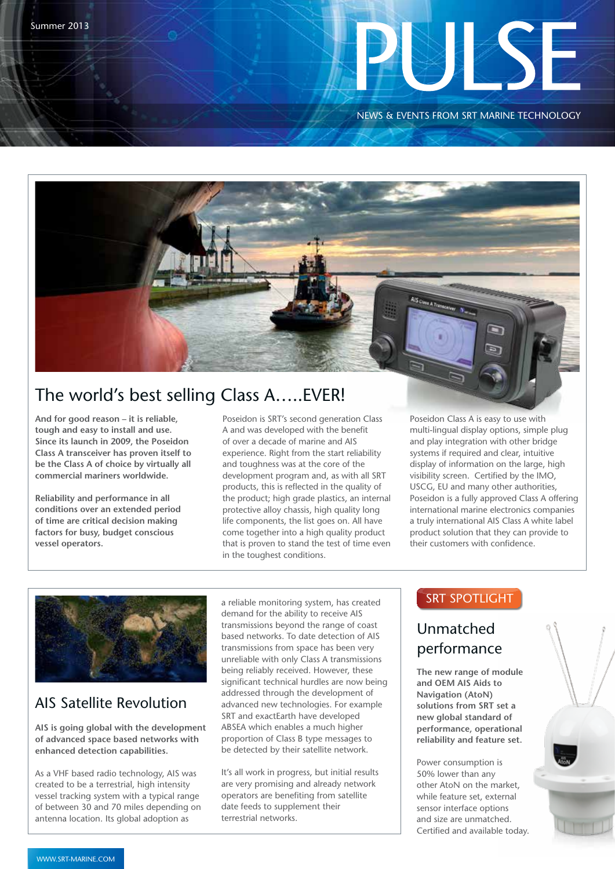# 

NEWS & EVENTS FROM SRT MARINE TECHNOLOGY

# The world's best selling Class A…..EVER!

**And for good reason – it is reliable, tough and easy to install and use. Since its launch in 2009, the Poseidon Class A transceiver has proven itself to be the Class A of choice by virtually all commercial mariners worldwide.** 

**Reliability and performance in all conditions over an extended period of time are critical decision making factors for busy, budget conscious vessel operators.**

Poseidon is SRT's second generation Class A and was developed with the benefit of over a decade of marine and AIS experience. Right from the start reliability and toughness was at the core of the development program and, as with all SRT products, this is reflected in the quality of the product; high grade plastics, an internal protective alloy chassis, high quality long life components, the list goes on. All have come together into a high quality product that is proven to stand the test of time even in the toughest conditions.

Poseidon Class A is easy to use with multi-lingual display options, simple plug and play integration with other bridge systems if required and clear, intuitive display of information on the large, high visibility screen. Certified by the IMO, USCG, EU and many other authorities, Poseidon is a fully approved Class A offering international marine electronics companies a truly international AIS Class A white label product solution that they can provide to their customers with confidence.

G ब



## AIS Satellite Revolution

**AIS is going global with the development of advanced space based networks with enhanced detection capabilities.**

As a VHF based radio technology, AIS was created to be a terrestrial, high intensity vessel tracking system with a typical range of between 30 and 70 miles depending on antenna location. Its global adoption as

a reliable monitoring system, has created demand for the ability to receive AIS transmissions beyond the range of coast based networks. To date detection of AIS transmissions from space has been very unreliable with only Class A transmissions being reliably received. However, these significant technical hurdles are now being addressed through the development of advanced new technologies. For example SRT and exactEarth have developed ABSEA which enables a much higher proportion of Class B type messages to be detected by their satellite network.

It's all work in progress, but initial results are very promising and already network operators are benefiting from satellite date feeds to supplement their terrestrial networks.

### **SRT SPOTLIGHT**

## Unmatched performance

**The new range of module and OEM AIS Aids to Navigation (AtoN) solutions from SRT set a new global standard of performance, operational reliability and feature set.**

Power consumption is 50% lower than any other AtoN on the market, while feature set, external sensor interface options and size are unmatched. Certified and available today.